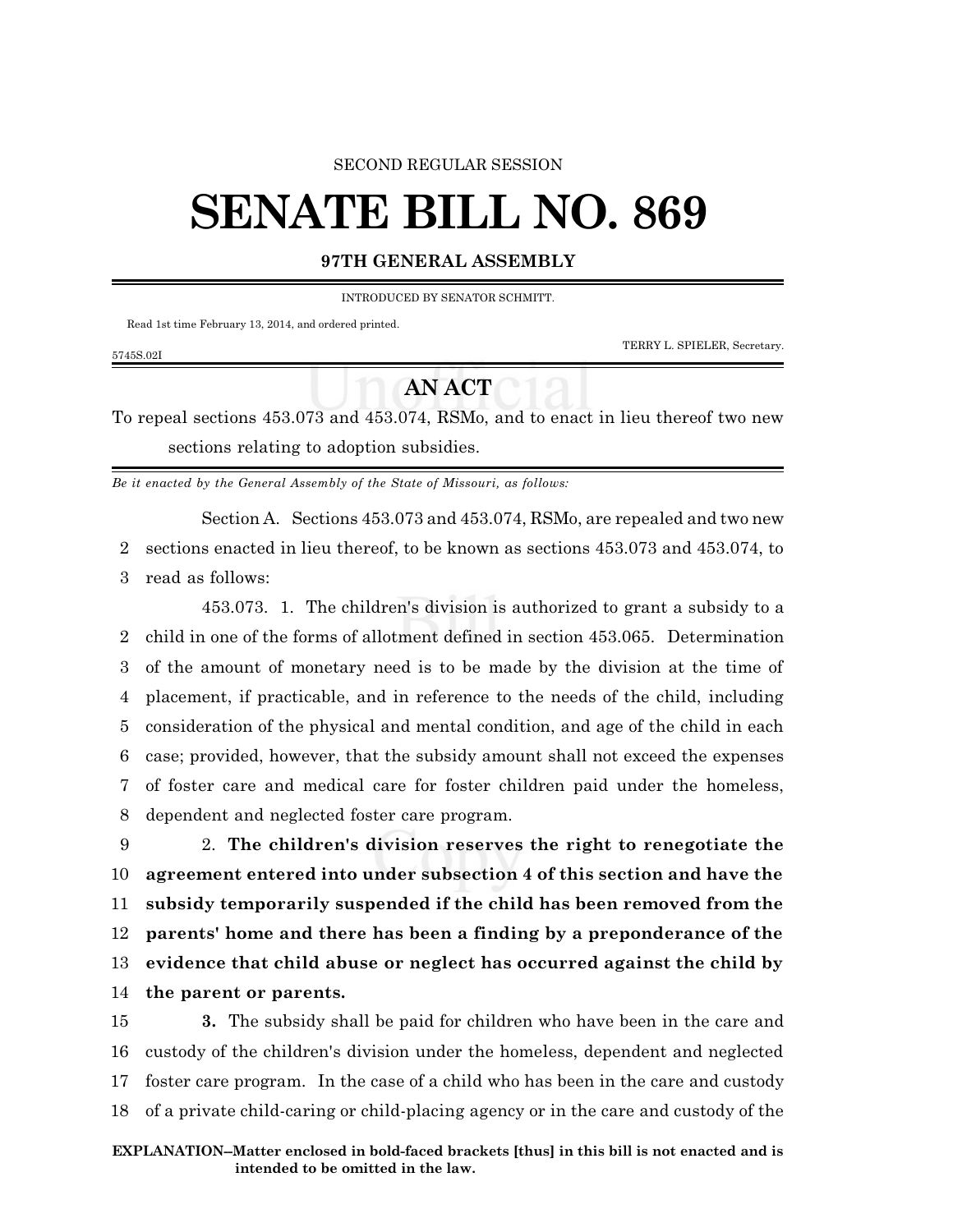### SECOND REGULAR SESSION

# **SENATE BILL NO. 869**

## **97TH GENERAL ASSEMBLY**

INTRODUCED BY SENATOR SCHMITT.

Read 1st time February 13, 2014, and ordered printed.

TERRY L. SPIELER, Secretary.

### 5745S.02I

# **AN ACT**

To repeal sections 453.073 and 453.074, RSMo, and to enact in lieu thereof two new sections relating to adoption subsidies.

*Be it enacted by the General Assembly of the State of Missouri, as follows:*

Section A. Sections 453.073 and 453.074, RSMo, are repealed and two new 2 sections enacted in lieu thereof, to be known as sections 453.073 and 453.074, to 3 read as follows:

453.073. 1. The children's division is authorized to grant a subsidy to a child in one of the forms of allotment defined in section 453.065. Determination of the amount of monetary need is to be made by the division at the time of placement, if practicable, and in reference to the needs of the child, including consideration of the physical and mental condition, and age of the child in each case; provided, however, that the subsidy amount shall not exceed the expenses of foster care and medical care for foster children paid under the homeless, dependent and neglected foster care program.

 2. **The children's division reserves the right to renegotiate the agreement entered into under subsection 4 of this section and have the subsidy temporarily suspended if the child has been removed from the parents' home and there has been a finding by a preponderance of the evidence that child abuse or neglect has occurred against the child by the parent or parents.**

 **3.** The subsidy shall be paid for children who have been in the care and custody of the children's division under the homeless, dependent and neglected foster care program. In the case of a child who has been in the care and custody of a private child-caring or child-placing agency or in the care and custody of the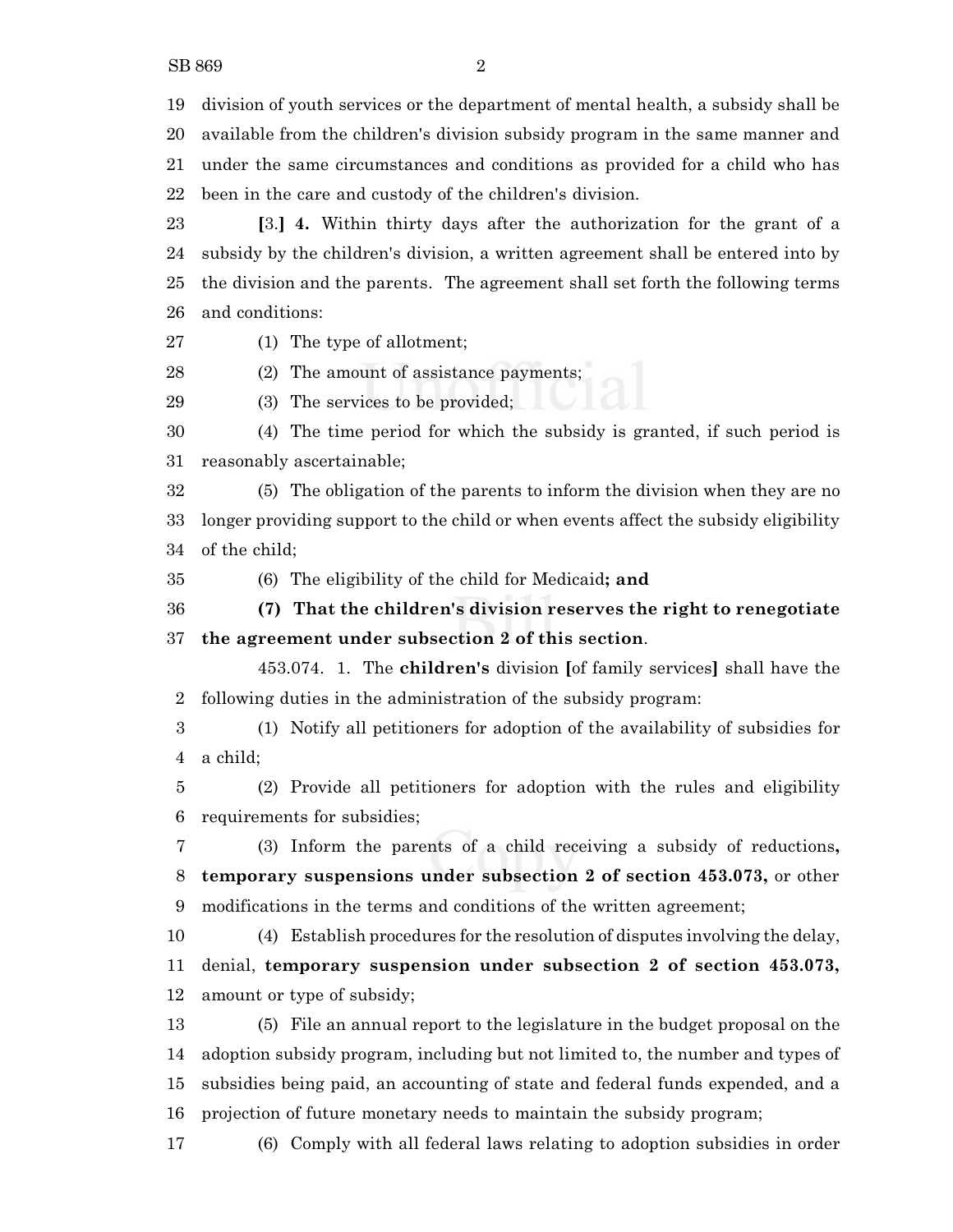SB 869 2

 division of youth services or the department of mental health, a subsidy shall be available from the children's division subsidy program in the same manner and under the same circumstances and conditions as provided for a child who has

been in the care and custody of the children's division.

 **[**3.**] 4.** Within thirty days after the authorization for the grant of a subsidy by the children's division, a written agreement shall be entered into by the division and the parents. The agreement shall set forth the following terms and conditions:

(1) The type of allotment;

(2) The amount of assistance payments;

(3) The services to be provided;

 (4) The time period for which the subsidy is granted, if such period is reasonably ascertainable;

 (5) The obligation of the parents to inform the division when they are no longer providing support to the child or when events affect the subsidy eligibility of the child;

(6) The eligibility of the child for Medicaid**; and**

 **(7) That the children's division reserves the right to renegotiate the agreement under subsection 2 of this section**.

453.074. 1. The **children's** division **[**of family services**]** shall have the following duties in the administration of the subsidy program:

 (1) Notify all petitioners for adoption of the availability of subsidies for a child;

 (2) Provide all petitioners for adoption with the rules and eligibility requirements for subsidies;

 (3) Inform the parents of a child receiving a subsidy of reductions**, temporary suspensions under subsection 2 of section 453.073,** or other modifications in the terms and conditions of the written agreement;

 (4) Establish procedures for the resolution of disputes involving the delay, denial, **temporary suspension under subsection 2 of section 453.073,** amount or type of subsidy;

 (5) File an annual report to the legislature in the budget proposal on the adoption subsidy program, including but not limited to, the number and types of subsidies being paid, an accounting of state and federal funds expended, and a projection of future monetary needs to maintain the subsidy program;

(6) Comply with all federal laws relating to adoption subsidies in order